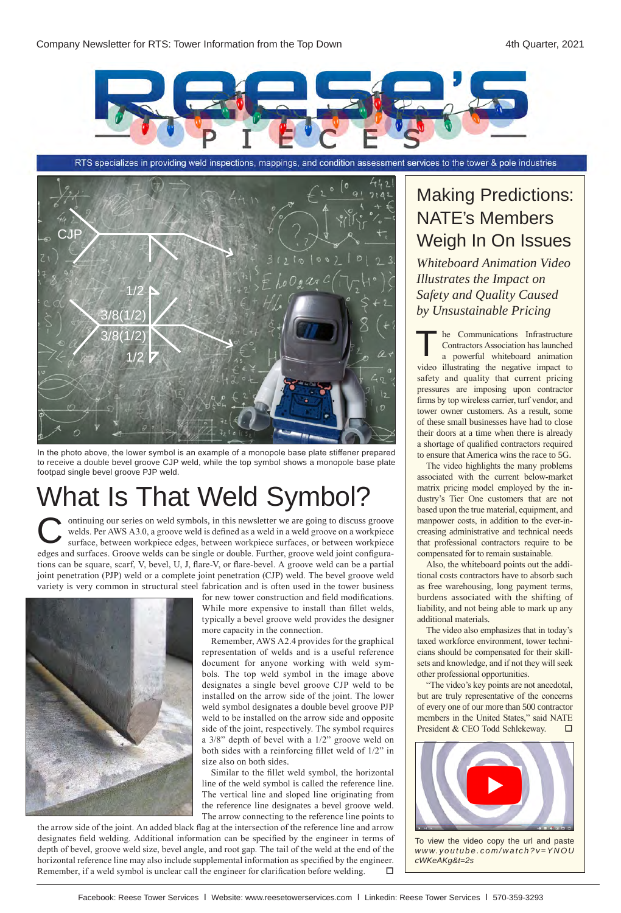

RTS specializes in providing weld inspections, mappings, and condition assessment services to the tower & pole industries



In the photo above, the lower symbol is an example of a monopole base plate stiffener prepared to receive a double bevel groove CJP weld, while the top symbol shows a monopole base plate footpad single bevel groove PJP weld.

# What Is That Weld Symbol?

ontinuing our series on weld symbols, in this newsletter we are going to discuss groove welds. Per AWS A3.0, a groove weld is defined as a weld in a weld groove on a workpiece surface, between workpiece edges, between workpiece surfaces, or between workpiece edges and surfaces. Groove welds can be single or double. Further, groove weld joint configurations can be square, scarf, V, bevel, U, J, flare-V, or flare-bevel. A groove weld can be a partial joint penetration (PJP) weld or a complete joint penetration (CJP) weld. The bevel groove weld variety is very common in structural steel fabrication and is often used in the tower business C



for new tower construction and field modifications. While more expensive to install than fillet welds, typically a bevel groove weld provides the designer more capacity in the connection.

Remember, AWS A2.4 provides for the graphical representation of welds and is a useful reference document for anyone working with weld symbols. The top weld symbol in the image above designates a single bevel groove CJP weld to be installed on the arrow side of the joint. The lower weld symbol designates a double bevel groove PJP weld to be installed on the arrow side and opposite side of the joint, respectively. The symbol requires a 3/8" depth of bevel with a 1/2" groove weld on both sides with a reinforcing fillet weld of 1/2" in size also on both sides.

Similar to the fillet weld symbol, the horizontal line of the weld symbol is called the reference line. The vertical line and sloped line originating from the reference line designates a bevel groove weld. The arrow connecting to the reference line points to

the arrow side of the joint. An added black flag at the intersection of the reference line and arrow designates field welding. Additional information can be specified by the engineer in terms of depth of bevel, groove weld size, bevel angle, and root gap. The tail of the weld at the end of the horizontal reference line may also include supplemental information as specified by the engineer. Remember, if a weld symbol is unclear call the engineer for clarification before welding.

#### Making Predictions: NATE's Members Weigh In On Issues

*Whiteboard Animation Video Illustrates the Impact on Safety and Quality Caused by Unsustainable Pricing*

he Communications Infrastructure Contractors Association has launched a powerful whiteboard animation The Communications Infrastructure<br>
Contractors Association has launched<br>
a powerful whiteboard animation<br>
video illustrating the negative impact to safety and quality that current pricing pressures are imposing upon contractor firms by top wireless carrier, turf vendor, and tower owner customers. As a result, some of these small businesses have had to close their doors at a time when there is already a shortage of qualified contractors required to ensure that America wins the race to 5G.

The video highlights the many problems associated with the current below-market matrix pricing model employed by the industry's Tier One customers that are not based upon the true material, equipment, and manpower costs, in addition to the ever-increasing administrative and technical needs that professional contractors require to be compensated for to remain sustainable.

Also, the whiteboard points out the additional costs contractors have to absorb such as free warehousing, long payment terms, burdens associated with the shifting of liability, and not being able to mark up any additional materials.

The video also emphasizes that in today's taxed workforce environment, tower technicians should be compensated for their skillsets and knowledge, and if not they will seek other professional opportunities.

"The video's key points are not anecdotal, but are truly representative of the concerns of every one of our more than 500 contractor members in the United States," said NATE President & CEO Todd Schlekeway. □



To view the video copy the url and paste *www.youtube.com/watch?v=YNOU cWKeAKg&t=2s*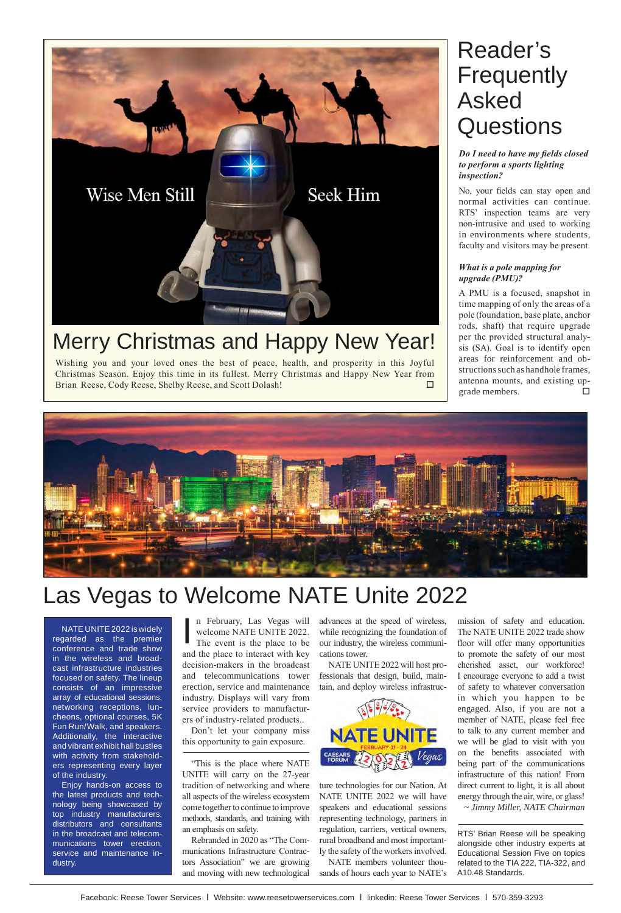

### Merry Christmas and Happy New Year!

Wishing you and your loved ones the best of peace, health, and prosperity in this Joyful Christmas Season. Enjoy this time in its fullest. Merry Christmas and Happy New Year from Brian Reese, Cody Reese, Shelby Reese, and Scott Dolash!

## Reader's **Frequently** Asked **Questions**

*Do I need to have my fields closed to perform a sports lighting inspection?*

No, your fields can stay open and normal activities can continue. RTS' inspection teams are very non-intrusive and used to working in environments where students, faculty and visitors may be present.

#### *What is a pole mapping for upgrade (PMU)?*

A PMU is a focused, snapshot in time mapping of only the areas of a pole (foundation, base plate, anchor rods, shaft) that require upgrade per the provided structural analysis (SA). Goal is to identify open areas for reinforcement and obstructions such as handhole frames, antenna mounts, and existing upgrade members.  $\Box$ 



# Las Vegas to Welcome NATE Unite 2022

NATE UNITE 2022 is widely regarded as the premier conference and trade show in the wireless and broadcast infrastructure industries focused on safety. The lineup consists of an impressive array of educational sessions, networking receptions, luncheons, optional courses, 5K Fun Run/Walk, and speakers. Additionally, the interactive and vibrant exhibit hall bustles with activity from stakeholders representing every layer of the industry.

Enjoy hands-on access to the latest products and technology being showcased by top industry manufacturers, distributors and consultants in the broadcast and telecommunications tower erection, service and maintenance industry.

n February, Las Vegas will welcome NATE UNITE 2022. The event is the place to be and the place to interact with key decision-makers in the broadcast and telecommunications tower erection, service and maintenance industry. Displays will vary from service providers to manufacturers of industry-related products.. I

Don't let your company miss this opportunity to gain exposure.

"This is the place where NATE UNITE will carry on the 27-year tradition of networking and where all aspects of the wireless ecosystem come together to continue to improve methods, standards, and training with an emphasis on safety.

Rebranded in 2020 as "The Communications Infrastructure Contractors Association" we are growing and moving with new technological advances at the speed of wireless, while recognizing the foundation of our industry, the wireless communications tower.

NATE UNITE 2022 will host professionals that design, build, maintain, and deploy wireless infrastruc-



ture technologies for our Nation. At NATE UNITE 2022 we will have speakers and educational sessions representing technology, partners in regulation, carriers, vertical owners, rural broadband and most importantly the safety of the workers involved.

NATE members volunteer thousands of hours each year to NATE's mission of safety and education. The NATE UNITE 2022 trade show floor will offer many opportunities to promote the safety of our most cherished asset, our workforce! I encourage everyone to add a twist of safety to whatever conversation in which you happen to be engaged. Also, if you are not a member of NATE, please feel free to talk to any current member and we will be glad to visit with you on the benefits associated with being part of the communications infrastructure of this nation! From direct current to light, it is all about energy through the air, wire, or glass! *~ Jimmy Miller, NATE Chairman*

RTS' Brian Reese will be speaking alongside other industry experts at Educational Session Five on topics related to the TIA 222, TIA-322, and A10.48 Standards.